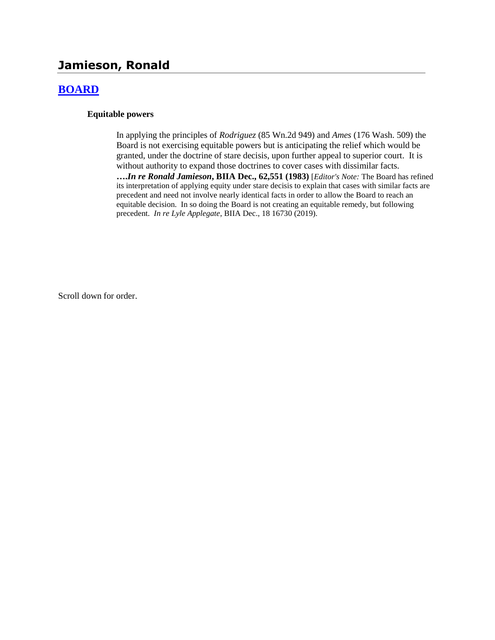# **Jamieson, Ronald**

# **[BOARD](http://www.biia.wa.gov/SDSubjectIndex.html#BOARD)**

#### **Equitable powers**

In applying the principles of *Rodriguez* (85 Wn.2d 949) and *Ames* (176 Wash. 509) the Board is not exercising equitable powers but is anticipating the relief which would be granted, under the doctrine of stare decisis, upon further appeal to superior court. It is without authority to expand those doctrines to cover cases with dissimilar facts.

**….***In re Ronald Jamieson***, BIIA Dec., 62,551 (1983)** [*Editor's Note:* The Board has refined its interpretation of applying equity under stare decisis to explain that cases with similar facts are precedent and need not involve nearly identical facts in order to allow the Board to reach an equitable decision. In so doing the Board is not creating an equitable remedy, but following precedent. *In re Lyle Applegate*, BIIA Dec., 18 16730 (2019).

Scroll down for order.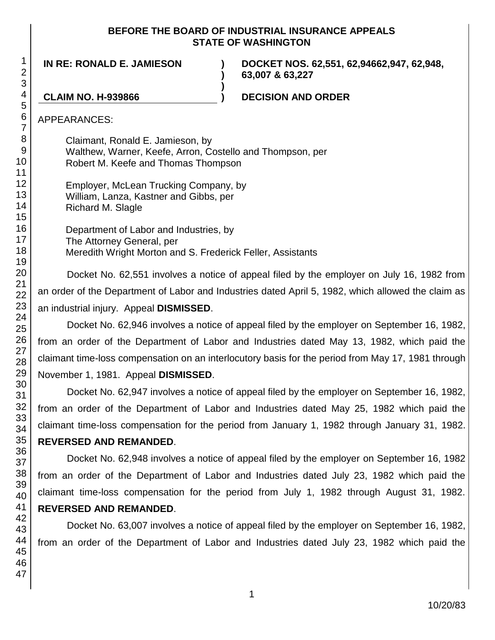## **BEFORE THE BOARD OF INDUSTRIAL INSURANCE APPEALS STATE OF WASHINGTON**

**)**

**)**

**IN RE: RONALD E. JAMIESON )**

**DOCKET NOS. 62,551, 62,94662,947, 62,948, 63,007 & 63,227**

**CLAIM NO. H-939866 ) DECISION AND ORDER**

APPEARANCES:

Claimant, Ronald E. Jamieson, by Walthew, Warner, Keefe, Arron, Costello and Thompson, per Robert M. Keefe and Thomas Thompson

Employer, McLean Trucking Company, by William, Lanza, Kastner and Gibbs, per Richard M. Slagle

Department of Labor and Industries, by The Attorney General, per Meredith Wright Morton and S. Frederick Feller, Assistants

Docket No. 62,551 involves a notice of appeal filed by the employer on July 16, 1982 from an order of the Department of Labor and Industries dated April 5, 1982, which allowed the claim as an industrial injury. Appeal **DISMISSED**.

Docket No. 62,946 involves a notice of appeal filed by the employer on September 16, 1982, from an order of the Department of Labor and Industries dated May 13, 1982, which paid the claimant time-loss compensation on an interlocutory basis for the period from May 17, 1981 through November 1, 1981. Appeal **DISMISSED**.

Docket No. 62,947 involves a notice of appeal filed by the employer on September 16, 1982, from an order of the Department of Labor and Industries dated May 25, 1982 which paid the claimant time-loss compensation for the period from January 1, 1982 through January 31, 1982. **REVERSED AND REMANDED**.

Docket No. 62,948 involves a notice of appeal filed by the employer on September 16, 1982 from an order of the Department of Labor and Industries dated July 23, 1982 which paid the claimant time-loss compensation for the period from July 1, 1982 through August 31, 1982. **REVERSED AND REMANDED**.

Docket No. 63,007 involves a notice of appeal filed by the employer on September 16, 1982, from an order of the Department of Labor and Industries dated July 23, 1982 which paid the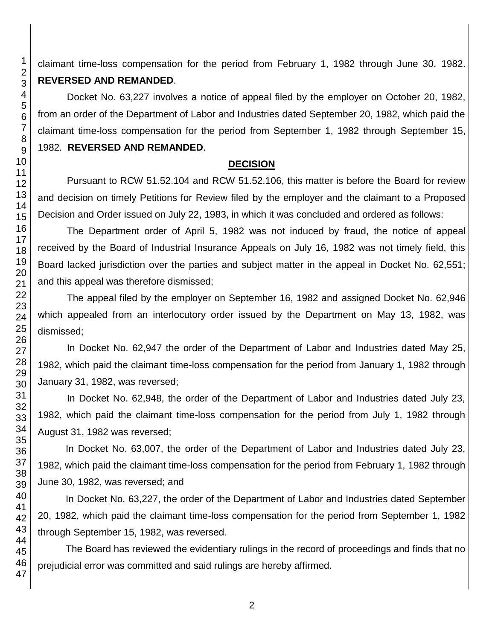claimant time-loss compensation for the period from February 1, 1982 through June 30, 1982. **REVERSED AND REMANDED**.

Docket No. 63,227 involves a notice of appeal filed by the employer on October 20, 1982, from an order of the Department of Labor and Industries dated September 20, 1982, which paid the claimant time-loss compensation for the period from September 1, 1982 through September 15, 1982. **REVERSED AND REMANDED**.

### **DECISION**

Pursuant to RCW 51.52.104 and RCW 51.52.106, this matter is before the Board for review and decision on timely Petitions for Review filed by the employer and the claimant to a Proposed Decision and Order issued on July 22, 1983, in which it was concluded and ordered as follows:

The Department order of April 5, 1982 was not induced by fraud, the notice of appeal received by the Board of Industrial Insurance Appeals on July 16, 1982 was not timely field, this Board lacked jurisdiction over the parties and subject matter in the appeal in Docket No. 62,551; and this appeal was therefore dismissed;

The appeal filed by the employer on September 16, 1982 and assigned Docket No. 62,946 which appealed from an interlocutory order issued by the Department on May 13, 1982, was dismissed;

In Docket No. 62,947 the order of the Department of Labor and Industries dated May 25, 1982, which paid the claimant time-loss compensation for the period from January 1, 1982 through January 31, 1982, was reversed;

In Docket No. 62,948, the order of the Department of Labor and Industries dated July 23, 1982, which paid the claimant time-loss compensation for the period from July 1, 1982 through August 31, 1982 was reversed;

In Docket No. 63,007, the order of the Department of Labor and Industries dated July 23, 1982, which paid the claimant time-loss compensation for the period from February 1, 1982 through June 30, 1982, was reversed; and

In Docket No. 63,227, the order of the Department of Labor and Industries dated September 20, 1982, which paid the claimant time-loss compensation for the period from September 1, 1982 through September 15, 1982, was reversed.

The Board has reviewed the evidentiary rulings in the record of proceedings and finds that no prejudicial error was committed and said rulings are hereby affirmed.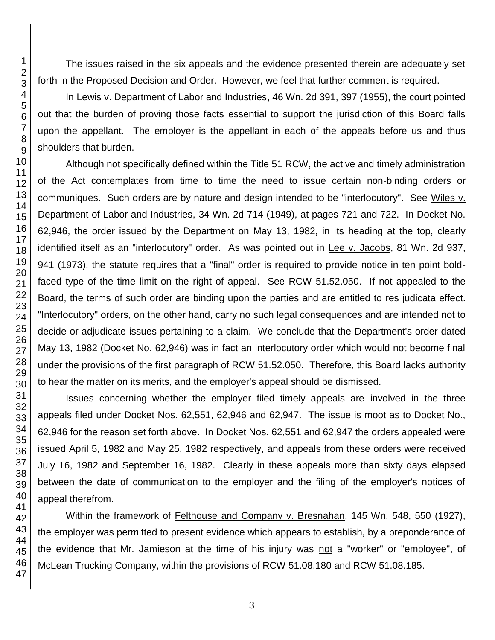The issues raised in the six appeals and the evidence presented therein are adequately set forth in the Proposed Decision and Order. However, we feel that further comment is required.

In Lewis v. Department of Labor and Industries, 46 Wn. 2d 391, 397 (1955), the court pointed out that the burden of proving those facts essential to support the jurisdiction of this Board falls upon the appellant. The employer is the appellant in each of the appeals before us and thus shoulders that burden.

Although not specifically defined within the Title 51 RCW, the active and timely administration of the Act contemplates from time to time the need to issue certain non-binding orders or communiques. Such orders are by nature and design intended to be "interlocutory". See Wiles v. Department of Labor and Industries, 34 Wn. 2d 714 (1949), at pages 721 and 722. In Docket No. 62,946, the order issued by the Department on May 13, 1982, in its heading at the top, clearly identified itself as an "interlocutory" order. As was pointed out in Lee v. Jacobs, 81 Wn. 2d 937, 941 (1973), the statute requires that a "final" order is required to provide notice in ten point boldfaced type of the time limit on the right of appeal. See RCW 51.52.050. If not appealed to the Board, the terms of such order are binding upon the parties and are entitled to res judicata effect. "Interlocutory" orders, on the other hand, carry no such legal consequences and are intended not to decide or adjudicate issues pertaining to a claim. We conclude that the Department's order dated May 13, 1982 (Docket No. 62,946) was in fact an interlocutory order which would not become final under the provisions of the first paragraph of RCW 51.52.050. Therefore, this Board lacks authority to hear the matter on its merits, and the employer's appeal should be dismissed.

Issues concerning whether the employer filed timely appeals are involved in the three appeals filed under Docket Nos. 62,551, 62,946 and 62,947. The issue is moot as to Docket No., 62,946 for the reason set forth above. In Docket Nos. 62,551 and 62,947 the orders appealed were issued April 5, 1982 and May 25, 1982 respectively, and appeals from these orders were received July 16, 1982 and September 16, 1982. Clearly in these appeals more than sixty days elapsed between the date of communication to the employer and the filing of the employer's notices of appeal therefrom.

Within the framework of Felthouse and Company v. Bresnahan, 145 Wn. 548, 550 (1927), the employer was permitted to present evidence which appears to establish, by a preponderance of the evidence that Mr. Jamieson at the time of his injury was not a "worker" or "employee", of McLean Trucking Company, within the provisions of RCW 51.08.180 and RCW 51.08.185.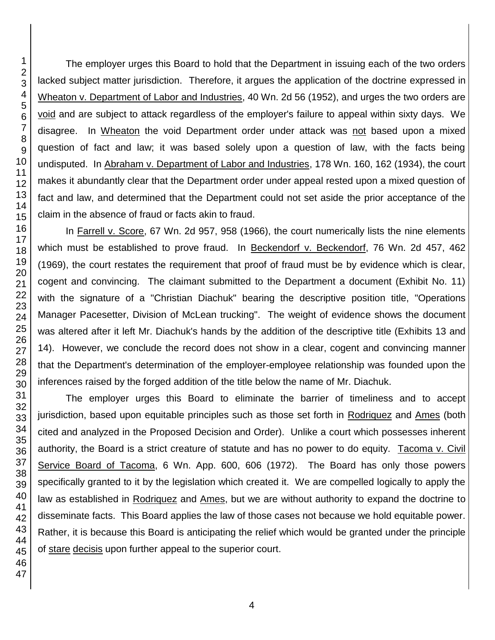The employer urges this Board to hold that the Department in issuing each of the two orders lacked subject matter jurisdiction. Therefore, it argues the application of the doctrine expressed in Wheaton v. Department of Labor and Industries, 40 Wn. 2d 56 (1952), and urges the two orders are void and are subject to attack regardless of the employer's failure to appeal within sixty days. We disagree. In Wheaton the void Department order under attack was not based upon a mixed question of fact and law; it was based solely upon a question of law, with the facts being undisputed. In Abraham v. Department of Labor and Industries, 178 Wn. 160, 162 (1934), the court makes it abundantly clear that the Department order under appeal rested upon a mixed question of fact and law, and determined that the Department could not set aside the prior acceptance of the claim in the absence of fraud or facts akin to fraud.

In Farrell v. Score, 67 Wn. 2d 957, 958 (1966), the court numerically lists the nine elements which must be established to prove fraud. In Beckendorf v. Beckendorf, 76 Wn. 2d 457, 462 (1969), the court restates the requirement that proof of fraud must be by evidence which is clear, cogent and convincing. The claimant submitted to the Department a document (Exhibit No. 11) with the signature of a "Christian Diachuk" bearing the descriptive position title, "Operations Manager Pacesetter, Division of McLean trucking". The weight of evidence shows the document was altered after it left Mr. Diachuk's hands by the addition of the descriptive title (Exhibits 13 and 14). However, we conclude the record does not show in a clear, cogent and convincing manner that the Department's determination of the employer-employee relationship was founded upon the inferences raised by the forged addition of the title below the name of Mr. Diachuk.

The employer urges this Board to eliminate the barrier of timeliness and to accept jurisdiction, based upon equitable principles such as those set forth in Rodriquez and Ames (both cited and analyzed in the Proposed Decision and Order). Unlike a court which possesses inherent authority, the Board is a strict creature of statute and has no power to do equity. Tacoma v. Civil Service Board of Tacoma, 6 Wn. App. 600, 606 (1972). The Board has only those powers specifically granted to it by the legislation which created it. We are compelled logically to apply the law as established in Rodriquez and Ames, but we are without authority to expand the doctrine to disseminate facts. This Board applies the law of those cases not because we hold equitable power. Rather, it is because this Board is anticipating the relief which would be granted under the principle of stare decisis upon further appeal to the superior court.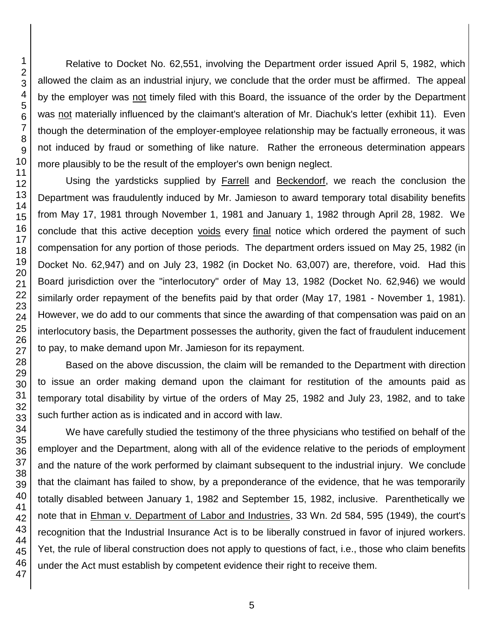Relative to Docket No. 62,551, involving the Department order issued April 5, 1982, which allowed the claim as an industrial injury, we conclude that the order must be affirmed. The appeal by the employer was not timely filed with this Board, the issuance of the order by the Department was not materially influenced by the claimant's alteration of Mr. Diachuk's letter (exhibit 11). Even though the determination of the employer-employee relationship may be factually erroneous, it was not induced by fraud or something of like nature. Rather the erroneous determination appears more plausibly to be the result of the employer's own benign neglect.

Using the yardsticks supplied by **Farrell** and **Beckendorf**, we reach the conclusion the Department was fraudulently induced by Mr. Jamieson to award temporary total disability benefits from May 17, 1981 through November 1, 1981 and January 1, 1982 through April 28, 1982. We conclude that this active deception voids every final notice which ordered the payment of such compensation for any portion of those periods. The department orders issued on May 25, 1982 (in Docket No. 62,947) and on July 23, 1982 (in Docket No. 63,007) are, therefore, void. Had this Board jurisdiction over the "interlocutory" order of May 13, 1982 (Docket No. 62,946) we would similarly order repayment of the benefits paid by that order (May 17, 1981 - November 1, 1981). However, we do add to our comments that since the awarding of that compensation was paid on an interlocutory basis, the Department possesses the authority, given the fact of fraudulent inducement to pay, to make demand upon Mr. Jamieson for its repayment.

Based on the above discussion, the claim will be remanded to the Department with direction to issue an order making demand upon the claimant for restitution of the amounts paid as temporary total disability by virtue of the orders of May 25, 1982 and July 23, 1982, and to take such further action as is indicated and in accord with law.

We have carefully studied the testimony of the three physicians who testified on behalf of the employer and the Department, along with all of the evidence relative to the periods of employment and the nature of the work performed by claimant subsequent to the industrial injury. We conclude that the claimant has failed to show, by a preponderance of the evidence, that he was temporarily totally disabled between January 1, 1982 and September 15, 1982, inclusive. Parenthetically we note that in Ehman v. Department of Labor and Industries, 33 Wn. 2d 584, 595 (1949), the court's recognition that the Industrial Insurance Act is to be liberally construed in favor of injured workers. Yet, the rule of liberal construction does not apply to questions of fact, i.e., those who claim benefits under the Act must establish by competent evidence their right to receive them.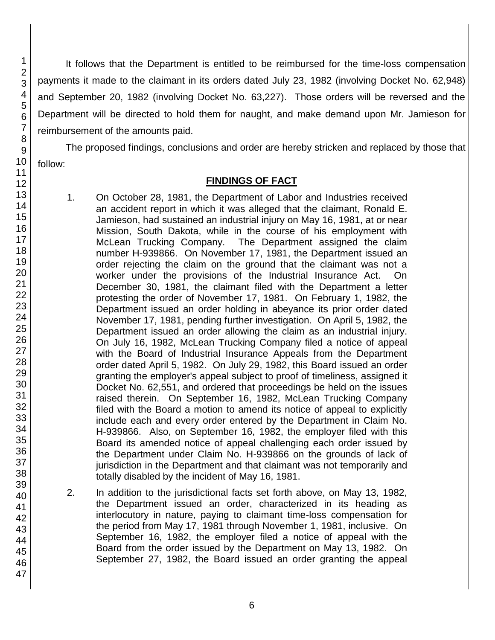It follows that the Department is entitled to be reimbursed for the time-loss compensation payments it made to the claimant in its orders dated July 23, 1982 (involving Docket No. 62,948) and September 20, 1982 (involving Docket No. 63,227). Those orders will be reversed and the Department will be directed to hold them for naught, and make demand upon Mr. Jamieson for reimbursement of the amounts paid.

The proposed findings, conclusions and order are hereby stricken and replaced by those that follow:

# **FINDINGS OF FACT**

- 1. On October 28, 1981, the Department of Labor and Industries received an accident report in which it was alleged that the claimant, Ronald E. Jamieson, had sustained an industrial injury on May 16, 1981, at or near Mission, South Dakota, while in the course of his employment with McLean Trucking Company. The Department assigned the claim number H-939866. On November 17, 1981, the Department issued an order rejecting the claim on the ground that the claimant was not a worker under the provisions of the Industrial Insurance Act. On December 30, 1981, the claimant filed with the Department a letter protesting the order of November 17, 1981. On February 1, 1982, the Department issued an order holding in abeyance its prior order dated November 17, 1981, pending further investigation. On April 5, 1982, the Department issued an order allowing the claim as an industrial injury. On July 16, 1982, McLean Trucking Company filed a notice of appeal with the Board of Industrial Insurance Appeals from the Department order dated April 5, 1982. On July 29, 1982, this Board issued an order granting the employer's appeal subject to proof of timeliness, assigned it Docket No. 62,551, and ordered that proceedings be held on the issues raised therein. On September 16, 1982, McLean Trucking Company filed with the Board a motion to amend its notice of appeal to explicitly include each and every order entered by the Department in Claim No. H-939866. Also, on September 16, 1982, the employer filed with this Board its amended notice of appeal challenging each order issued by the Department under Claim No. H-939866 on the grounds of lack of jurisdiction in the Department and that claimant was not temporarily and totally disabled by the incident of May 16, 1981.
- 2. In addition to the jurisdictional facts set forth above, on May 13, 1982, the Department issued an order, characterized in its heading as interlocutory in nature, paying to claimant time-loss compensation for the period from May 17, 1981 through November 1, 1981, inclusive. On September 16, 1982, the employer filed a notice of appeal with the Board from the order issued by the Department on May 13, 1982. On September 27, 1982, the Board issued an order granting the appeal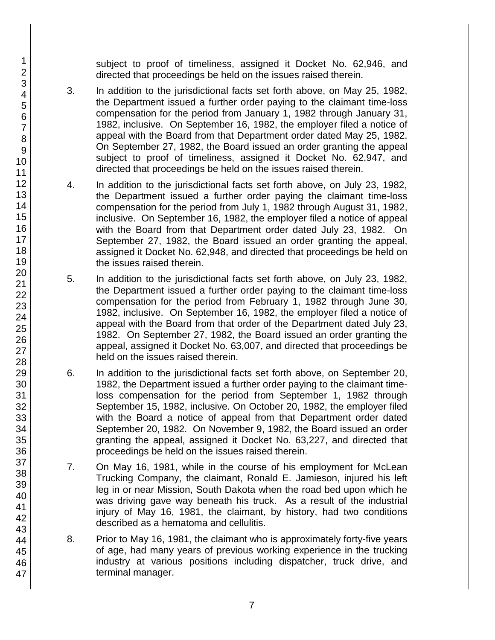subject to proof of timeliness, assigned it Docket No. 62,946, and directed that proceedings be held on the issues raised therein.

- 3. In addition to the jurisdictional facts set forth above, on May 25, 1982, the Department issued a further order paying to the claimant time-loss compensation for the period from January 1, 1982 through January 31, 1982, inclusive. On September 16, 1982, the employer filed a notice of appeal with the Board from that Department order dated May 25, 1982. On September 27, 1982, the Board issued an order granting the appeal subject to proof of timeliness, assigned it Docket No. 62,947, and directed that proceedings be held on the issues raised therein.
- 4. In addition to the jurisdictional facts set forth above, on July 23, 1982, the Department issued a further order paying the claimant time-loss compensation for the period from July 1, 1982 through August 31, 1982, inclusive. On September 16, 1982, the employer filed a notice of appeal with the Board from that Department order dated July 23, 1982. On September 27, 1982, the Board issued an order granting the appeal, assigned it Docket No. 62,948, and directed that proceedings be held on the issues raised therein.
- 5. In addition to the jurisdictional facts set forth above, on July 23, 1982, the Department issued a further order paying to the claimant time-loss compensation for the period from February 1, 1982 through June 30, 1982, inclusive. On September 16, 1982, the employer filed a notice of appeal with the Board from that order of the Department dated July 23, 1982. On September 27, 1982, the Board issued an order granting the appeal, assigned it Docket No. 63,007, and directed that proceedings be held on the issues raised therein.
- 6. In addition to the jurisdictional facts set forth above, on September 20, 1982, the Department issued a further order paying to the claimant timeloss compensation for the period from September 1, 1982 through September 15, 1982, inclusive. On October 20, 1982, the employer filed with the Board a notice of appeal from that Department order dated September 20, 1982. On November 9, 1982, the Board issued an order granting the appeal, assigned it Docket No. 63,227, and directed that proceedings be held on the issues raised therein.
- 7. On May 16, 1981, while in the course of his employment for McLean Trucking Company, the claimant, Ronald E. Jamieson, injured his left leg in or near Mission, South Dakota when the road bed upon which he was driving gave way beneath his truck. As a result of the industrial injury of May 16, 1981, the claimant, by history, had two conditions described as a hematoma and cellulitis.
- 8. Prior to May 16, 1981, the claimant who is approximately forty-five years of age, had many years of previous working experience in the trucking industry at various positions including dispatcher, truck drive, and terminal manager.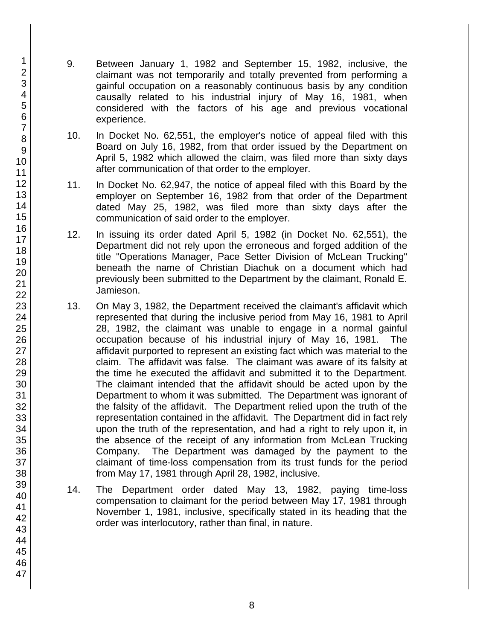- 9. Between January 1, 1982 and September 15, 1982, inclusive, the claimant was not temporarily and totally prevented from performing a gainful occupation on a reasonably continuous basis by any condition causally related to his industrial injury of May 16, 1981, when considered with the factors of his age and previous vocational experience.
- 10. In Docket No. 62,551, the employer's notice of appeal filed with this Board on July 16, 1982, from that order issued by the Department on April 5, 1982 which allowed the claim, was filed more than sixty days after communication of that order to the employer.
- 11. In Docket No. 62,947, the notice of appeal filed with this Board by the employer on September 16, 1982 from that order of the Department dated May 25, 1982, was filed more than sixty days after the communication of said order to the employer.
- 12. In issuing its order dated April 5, 1982 (in Docket No. 62,551), the Department did not rely upon the erroneous and forged addition of the title "Operations Manager, Pace Setter Division of McLean Trucking" beneath the name of Christian Diachuk on a document which had previously been submitted to the Department by the claimant, Ronald E. Jamieson.
- 13. On May 3, 1982, the Department received the claimant's affidavit which represented that during the inclusive period from May 16, 1981 to April 28, 1982, the claimant was unable to engage in a normal gainful occupation because of his industrial injury of May 16, 1981. The affidavit purported to represent an existing fact which was material to the claim. The affidavit was false. The claimant was aware of its falsity at the time he executed the affidavit and submitted it to the Department. The claimant intended that the affidavit should be acted upon by the Department to whom it was submitted. The Department was ignorant of the falsity of the affidavit. The Department relied upon the truth of the representation contained in the affidavit. The Department did in fact rely upon the truth of the representation, and had a right to rely upon it, in the absence of the receipt of any information from McLean Trucking Company. The Department was damaged by the payment to the claimant of time-loss compensation from its trust funds for the period from May 17, 1981 through April 28, 1982, inclusive.
- 14. The Department order dated May 13, 1982, paying time-loss compensation to claimant for the period between May 17, 1981 through November 1, 1981, inclusive, specifically stated in its heading that the order was interlocutory, rather than final, in nature.

47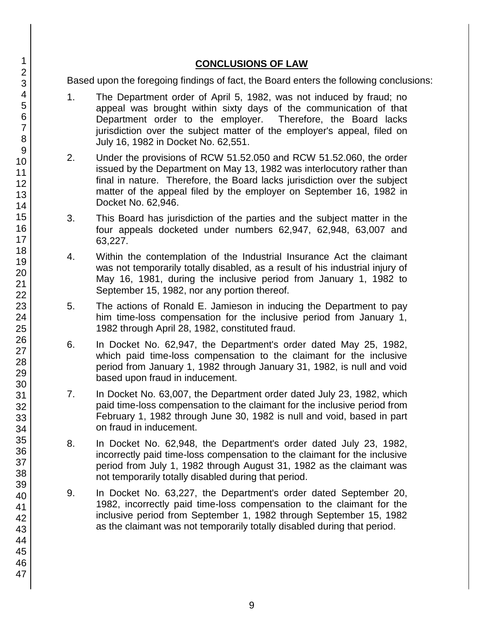# **CONCLUSIONS OF LAW**

Based upon the foregoing findings of fact, the Board enters the following conclusions:

- 1. The Department order of April 5, 1982, was not induced by fraud; no appeal was brought within sixty days of the communication of that Department order to the employer. Therefore, the Board lacks jurisdiction over the subject matter of the employer's appeal, filed on July 16, 1982 in Docket No. 62,551.
- 2. Under the provisions of RCW 51.52.050 and RCW 51.52.060, the order issued by the Department on May 13, 1982 was interlocutory rather than final in nature. Therefore, the Board lacks jurisdiction over the subject matter of the appeal filed by the employer on September 16, 1982 in Docket No. 62,946.
- 3. This Board has jurisdiction of the parties and the subject matter in the four appeals docketed under numbers 62,947, 62,948, 63,007 and 63,227.
- 4. Within the contemplation of the Industrial Insurance Act the claimant was not temporarily totally disabled, as a result of his industrial injury of May 16, 1981, during the inclusive period from January 1, 1982 to September 15, 1982, nor any portion thereof.
- 5. The actions of Ronald E. Jamieson in inducing the Department to pay him time-loss compensation for the inclusive period from January 1, 1982 through April 28, 1982, constituted fraud.
- 6. In Docket No. 62,947, the Department's order dated May 25, 1982, which paid time-loss compensation to the claimant for the inclusive period from January 1, 1982 through January 31, 1982, is null and void based upon fraud in inducement.
- 7. In Docket No. 63,007, the Department order dated July 23, 1982, which paid time-loss compensation to the claimant for the inclusive period from February 1, 1982 through June 30, 1982 is null and void, based in part on fraud in inducement.
- 8. In Docket No. 62,948, the Department's order dated July 23, 1982, incorrectly paid time-loss compensation to the claimant for the inclusive period from July 1, 1982 through August 31, 1982 as the claimant was not temporarily totally disabled during that period.
- 9. In Docket No. 63,227, the Department's order dated September 20, 1982, incorrectly paid time-loss compensation to the claimant for the inclusive period from September 1, 1982 through September 15, 1982 as the claimant was not temporarily totally disabled during that period.